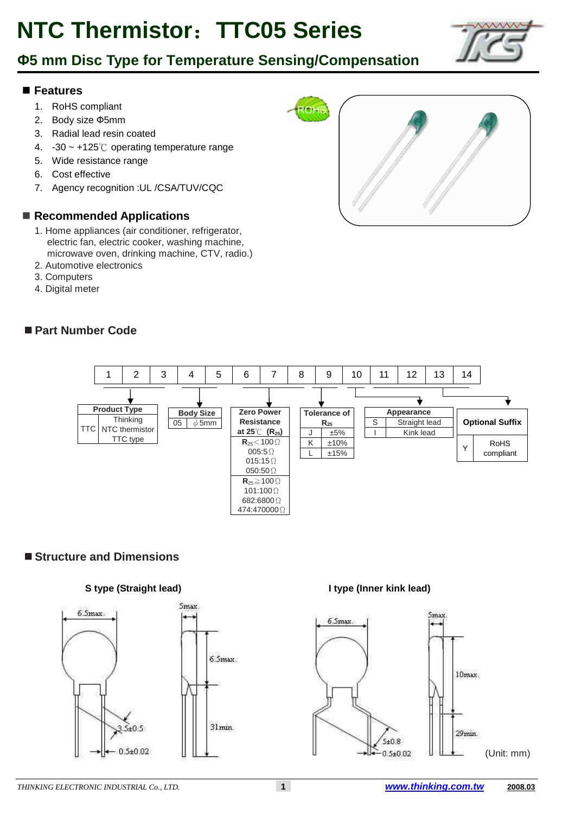### Ф**5 mm Disc Type for Temperature Sensing/Compensation**

#### **Features**

- 1. RoHS compliant
- 2. Body size Ф5mm
- 3. Radial lead resin coated
- 4. -30 ~ +125℃ operating temperature range
- 5. Wide resistance range
- 6. Cost effective
- 7. Agency recognition :UL /CSA/TUV/CQC

#### ■ Recommended Applications

- 1. Home appliances (air conditioner, refrigerator, electric fan, electric cooker, washing machine, microwave oven, drinking machine, CTV, radio.)
- 2. Automotive electronics
- 3. Computers
- 4. Digital meter

#### **Part Number Code**





#### ■ Structure and Dimensions



*THINKING ELECTRONIC INDUSTRIAL Co., LTD.* **1 www.thinking.com.tw 2008.03**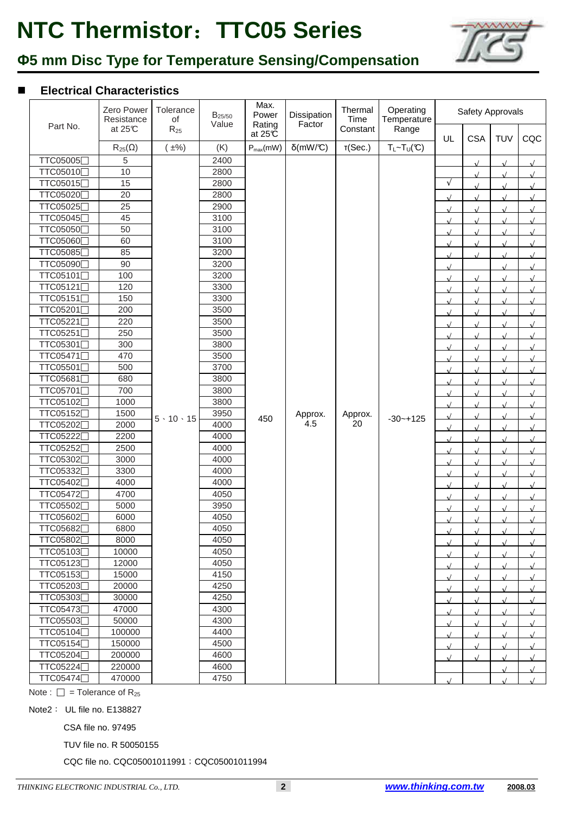

## Ф**5 mm Disc Type for Temperature Sensing/Compensation**

#### **Electrical Characteristics**

|          | Zero Power<br>Resistance | Tolerance<br>of       | $B_{25/50}$<br>Value | Max.<br>Power<br>Rating | Dissipation<br>Factor | Thermal<br>Time | Operating<br>Temperature   | Safety Approvals |                |            |            |  |
|----------|--------------------------|-----------------------|----------------------|-------------------------|-----------------------|-----------------|----------------------------|------------------|----------------|------------|------------|--|
| Part No. | at $25C$                 | $R_{25}$              |                      | at $25C$                |                       | Constant        | Range                      | UL               | <b>CSA</b>     | <b>TUV</b> | CQC        |  |
|          | $R_{25}(\Omega)$         | $\pm\%$ )             | (K)                  | $P_{max}(mW)$           | $\delta$ (mW/°C)      | T(Sec.)         | $T_L \sim T_U(\mathbb{C})$ |                  |                |            |            |  |
| TTC05005 | 5                        |                       | 2400                 |                         |                       |                 |                            |                  | $\sqrt{ }$     |            |            |  |
| TTC05010 | 10                       |                       | 2800                 |                         |                       |                 |                            |                  | $\sqrt{ }$     |            |            |  |
| TTC05015 | 15                       |                       | 2800                 |                         |                       |                 |                            | $\sqrt{ }$       |                |            |            |  |
| TTC05020 | 20                       |                       | 2800                 |                         |                       |                 |                            | $\sqrt{ }$       |                |            |            |  |
| TTC05025 | 25                       |                       | 2900                 |                         |                       |                 |                            | $\sqrt{ }$       |                |            |            |  |
| TTC05045 | 45                       |                       | 3100                 |                         |                       |                 |                            | $\sqrt{ }$       | $\overline{1}$ |            |            |  |
| TTC05050 | 50                       |                       | 3100                 |                         |                       |                 |                            | $\sqrt{ }$       | $\sqrt{ }$     |            |            |  |
| TTC05060 | 60                       |                       | 3100                 |                         |                       |                 |                            | $\sqrt{ }$       | $\sqrt{ }$     |            |            |  |
| TTC05085 | 85                       |                       | 3200                 |                         |                       |                 |                            | $\sqrt{ }$       | $\sqrt{ }$     |            |            |  |
| TTC05090 | 90                       |                       | 3200                 |                         |                       |                 |                            | $\sqrt{ }$       |                |            |            |  |
| TTC05101 | 100                      |                       | 3200                 |                         |                       |                 |                            | $\sqrt{ }$       | $\sqrt{ }$     |            |            |  |
| TTC05121 | 120                      |                       | 3300                 |                         |                       |                 |                            | $\sqrt{ }$       |                |            |            |  |
| TTC05151 | 150                      |                       | 3300                 |                         |                       |                 |                            | $\sqrt{ }$       |                |            |            |  |
| TTC05201 | 200                      |                       | 3500                 |                         |                       |                 |                            | $\sqrt{ }$       |                |            |            |  |
| TTC05221 | 220                      |                       | 3500                 |                         |                       |                 |                            | $\sqrt{ }$       | $\sqrt{ }$     |            |            |  |
| TTC05251 | 250                      |                       | 3500                 |                         |                       |                 |                            | $\sqrt{ }$       |                |            |            |  |
| TTC05301 | 300                      |                       | 3800                 |                         |                       |                 |                            | $\sqrt{ }$       |                |            |            |  |
| TTC05471 | 470                      |                       | 3500                 | 450                     | Approx.               | Approx.         | $-30 - +125$               | $\sqrt{ }$       | $\sqrt{ }$     | $\sqrt{ }$ | $\sqrt{ }$ |  |
| TTC05501 | 500                      |                       | 3700                 |                         |                       |                 |                            | $\sqrt{ }$       | $\sqrt{ }$     | $\lambda$  | $\sqrt{ }$ |  |
| TTC05681 | 680                      |                       | 3800                 |                         |                       |                 |                            | $\sqrt{ }$       | $\sqrt{ }$     | $\sqrt{ }$ | $\sqrt{ }$ |  |
| TTC05701 | 700                      |                       | 3800                 |                         |                       |                 |                            | $\sqrt{ }$       | $\sqrt{ }$     | $\sqrt{ }$ | $\sqrt{ }$ |  |
| TTC05102 | 1000                     |                       | 3800                 |                         |                       |                 |                            | $\sqrt{ }$       | $\sqrt{ }$     | $\sqrt{ }$ | $\sqrt{ }$ |  |
| TTC05152 | 1500                     | $5 \cdot 10 \cdot 15$ | 3950                 |                         |                       |                 |                            | $\sqrt{ }$       | $\sqrt{ }$     | $\sqrt{ }$ | $\sqrt{ }$ |  |
| TTC05202 | 2000                     |                       | 4000                 |                         | 4.5                   | 20              |                            | $\sqrt{ }$       | $\sqrt{ }$     | $\sqrt{ }$ | $\sqrt{ }$ |  |
| TTC05222 | 2200                     |                       | 4000                 |                         |                       |                 |                            | $\sqrt{ }$       | $\sqrt{ }$     | $\sqrt{ }$ | $\sqrt{ }$ |  |
| TTC05252 | 2500                     |                       | 4000                 |                         |                       |                 |                            | $\sqrt{ }$       | $\sqrt{ }$     | $\sqrt{ }$ | $\sqrt{ }$ |  |
| TTC05302 | 3000                     |                       | 4000                 |                         |                       |                 |                            | $\sqrt{ }$       | $\sqrt{ }$     | $\sqrt{ }$ | $\sqrt{ }$ |  |
| TTC05332 | 3300                     |                       | 4000                 |                         |                       |                 |                            | $\sqrt{2}$       | $\sqrt{ }$     | $\sqrt{ }$ | $\sqrt{ }$ |  |
| TTC05402 | 4000                     |                       | 4000                 |                         |                       |                 |                            | $\sqrt{ }$       | $\sqrt{ }$     | $\sqrt{ }$ | $\sqrt{ }$ |  |
| TTC05472 | 4700                     |                       | 4050                 |                         |                       |                 |                            | $\sqrt{ }$       | $\sqrt{ }$     | $\sqrt{ }$ | $\sqrt{ }$ |  |
| TTC05502 | 5000                     |                       | 3950                 |                         |                       |                 |                            | $\sqrt{ }$       | $\sqrt{ }$     | $\sqrt{ }$ | $\sqrt{ }$ |  |
| TTC05602 | 6000                     |                       | 4050                 |                         |                       |                 |                            | $\sqrt{ }$       | $\sqrt{ }$     | $\sqrt{ }$ | $\sqrt{ }$ |  |
| TTC05682 | 6800                     |                       | 4050                 |                         |                       |                 |                            | $\sqrt{ }$       | $\cdot$        | $\cdot$    | $\sqrt{ }$ |  |
| TTC05802 | 8000                     |                       | 4050                 |                         |                       |                 |                            | $\sqrt{ }$       | $\sqrt{ }$     | $\sqrt{ }$ |            |  |
| TTC05103 | 10000                    |                       | 4050                 |                         |                       |                 |                            | $\sqrt{ }$       | $\sqrt{ }$     |            |            |  |
| TTC05123 | 12000                    |                       | 4050                 |                         |                       |                 |                            | $\sqrt{ }$       | $\sqrt{ }$     | $\sqrt{ }$ | $\sqrt{ }$ |  |
| TTC05153 | 15000                    |                       | 4150                 |                         |                       |                 |                            | $\sqrt{ }$       | $\sqrt{ }$     | $\sqrt{ }$ | $\sqrt{ }$ |  |
| TTC05203 | 20000                    |                       | 4250                 |                         |                       |                 |                            | $\sqrt{ }$       | $\sqrt{ }$     | $\sqrt{ }$ | $\sqrt{ }$ |  |
| TTC05303 | 30000                    |                       | 4250                 |                         |                       |                 |                            | $\sqrt{ }$       | $\sqrt{ }$     | $\sqrt{ }$ | $\sqrt{ }$ |  |
| TTC05473 | 47000                    |                       | 4300                 |                         |                       |                 |                            | $\sqrt{ }$       | $\sqrt{ }$     | $\sqrt{ }$ | $\sqrt{ }$ |  |
| TTC05503 | 50000                    |                       | 4300                 |                         |                       |                 |                            | $\sqrt{ }$       | $\sqrt{ }$     | $\sqrt{ }$ | $\sqrt{ }$ |  |
| TTC05104 | 100000                   |                       | 4400                 |                         |                       |                 |                            | $\sqrt{2}$       | $\sqrt{2}$     | $\sqrt{ }$ | $\sqrt{ }$ |  |
| TTC05154 | 150000                   |                       | 4500                 |                         |                       |                 |                            | $\sqrt{ }$       | $\sqrt{ }$     |            | $\sqrt{ }$ |  |
| TTC05204 | 200000                   |                       | 4600                 |                         |                       |                 |                            | $\sqrt{ }$       | $\sqrt{ }$     | $\sqrt{ }$ | $\sqrt{ }$ |  |
| TTC05224 | 220000                   |                       | 4600                 |                         |                       |                 |                            |                  |                | $\sqrt{ }$ | $\sqrt{ }$ |  |
| TTC05474 | 470000                   |                       | 4750                 |                         |                       |                 |                            | $\sqrt{ }$       |                |            |            |  |

Note :  $\Box$  = Tolerance of R<sub>25</sub>

Note2: UL file no. E138827

CSA file no. 97495

TUV file no. R 50050155

CQC file no. CQC05001011991;CQC05001011994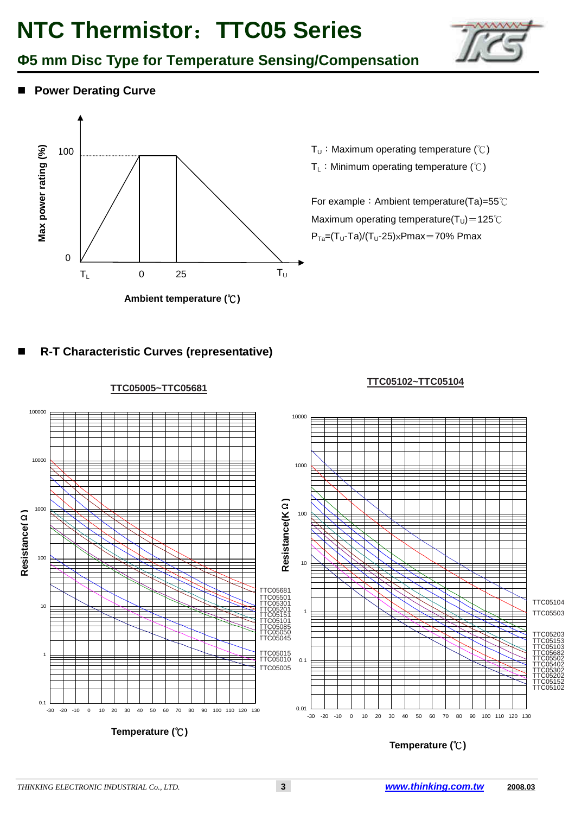

■ Power Derating Curve



- T<sub>U</sub>: Maximum operating temperature (°C)
- T<sub>L</sub>: Minimum operating temperature (°C)

For example: Ambient temperature(Ta)=55℃ Maximum operating temperature( $T_U$ )=125℃  $P_{Ta}=(T_U-Ta)/(T_U-25) \times Pmax=70\% Pmax$ 

**R-T Characteristic Curves (representative)**

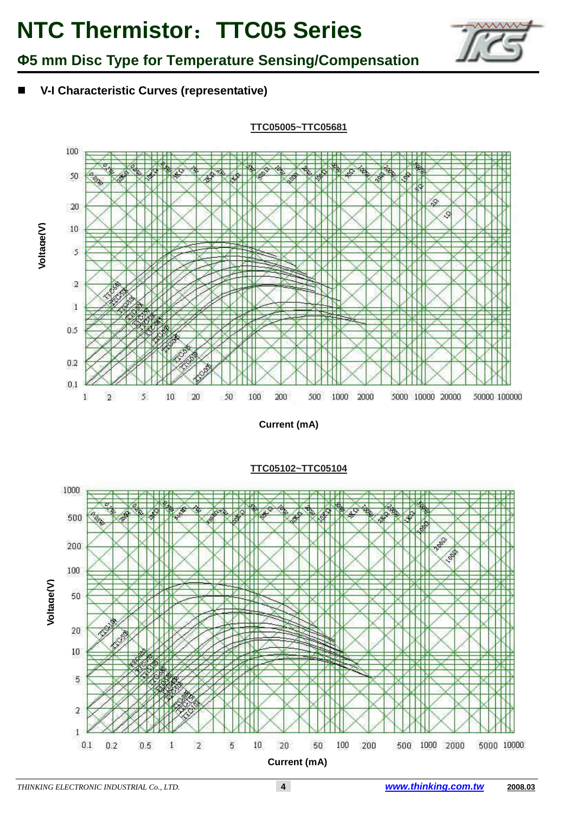

Ф**5 mm Disc Type for Temperature Sensing/Compensation**

**V-I Characteristic Curves (representative)**

**Voltage(V)**



**Current (mA)**



**TTC05102~TTC05104**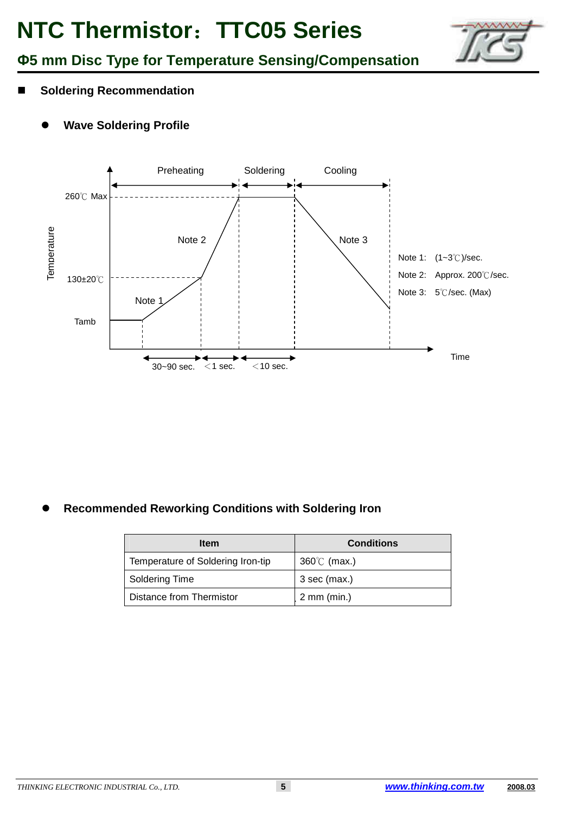

### Ф**5 mm Disc Type for Temperature Sensing/Compensation**

- **Soldering Recommendation** 
	- $\bullet$ **Wave Soldering Profile**



 $\bullet$ **Recommended Reworking Conditions with Soldering Iron**

| <b>Item</b>                       | <b>Conditions</b>     |  |  |  |  |
|-----------------------------------|-----------------------|--|--|--|--|
| Temperature of Soldering Iron-tip | $360^{\circ}$ (max.)  |  |  |  |  |
| Soldering Time                    | 3 sec (max.)          |  |  |  |  |
| Distance from Thermistor          | $2 \text{ mm (min.)}$ |  |  |  |  |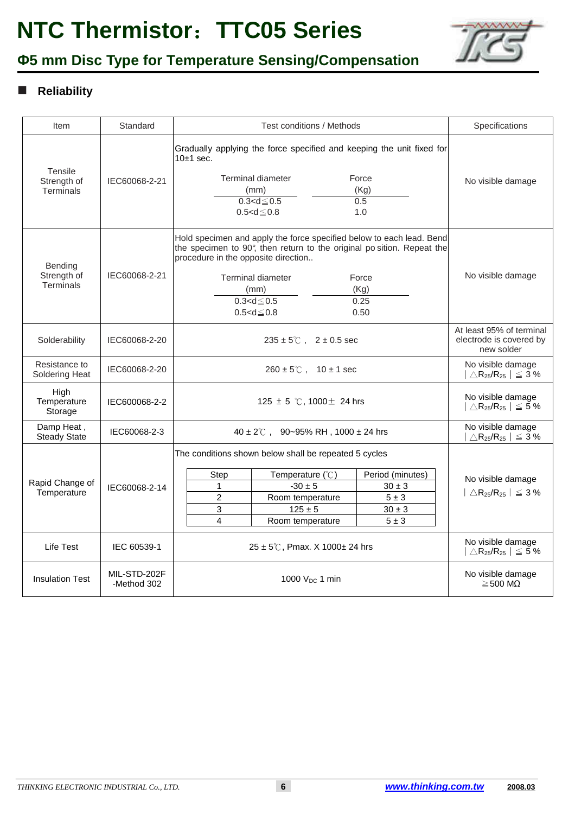

# Ф**5 mm Disc Type for Temperature Sensing/Compensation**

### **Reliability**

| Item                                              | Standard                    | Test conditions / Methods                                                                                                                                                                                                                                                                              | Specifications                                                                     |  |  |
|---------------------------------------------------|-----------------------------|--------------------------------------------------------------------------------------------------------------------------------------------------------------------------------------------------------------------------------------------------------------------------------------------------------|------------------------------------------------------------------------------------|--|--|
| Tensile<br>Strength of<br>Terminals               | IEC60068-2-21               | Gradually applying the force specified and keeping the unit fixed for<br>$10±1$ sec.<br><b>Terminal diameter</b><br>Force<br>(Kg)<br>(mm)<br>$0.3 < d \le 0.5$<br>0.5<br>$0.5 < d \le 0.8$<br>1.0                                                                                                      | No visible damage                                                                  |  |  |
| <b>Bending</b><br>Strength of<br><b>Terminals</b> | IEC60068-2-21               | Hold specimen and apply the force specified below to each lead. Bend<br>the specimen to 90°, then return to the original po sition. Repeat the<br>procedure in the opposite direction<br><b>Terminal diameter</b><br>Force<br>(Kg)<br>(mm)<br>0.25<br>$0.3 < d \leq 0.5$<br>$0.5 < d \leq 0.8$<br>0.50 | No visible damage                                                                  |  |  |
| Solderability                                     | IEC60068-2-20               | $235 \pm 5^{\circ}$ ( $2 \pm 0.5$ sec                                                                                                                                                                                                                                                                  | At least 95% of terminal<br>electrode is covered by<br>new solder                  |  |  |
| Resistance to<br>Soldering Heat                   | IEC60068-2-20               | $260 \pm 5^{\circ}$ ( , 10 $\pm$ 1 sec                                                                                                                                                                                                                                                                 | No visible damage<br>$\triangle$ R <sub>25</sub> /R <sub>25</sub> $\vert \leq 3\%$ |  |  |
| High<br>Temperature<br>Storage                    | IEC600068-2-2               | 125 $\pm$ 5 °C, 1000 $\pm$ 24 hrs                                                                                                                                                                                                                                                                      | No visible damage<br>$\bigtriangleup R_{25}/R_{25} \mid \ \leq 5\ \%$              |  |  |
| Damp Heat,<br><b>Steady State</b>                 | IEC60068-2-3                | $40 \pm 2^{\circ}$ C, 90~95% RH, 1000 ± 24 hrs                                                                                                                                                                                                                                                         | No visible damage<br>$\triangle$ R <sub>25</sub> /R <sub>25</sub>   $\leq$ 3 %     |  |  |
| Rapid Change of<br>Temperature                    | IEC60068-2-14               | The conditions shown below shall be repeated 5 cycles<br>Step<br>Temperature $(\mathcal{C})$<br>Period (minutes)<br>$-30 \pm 5$<br>1<br>$30 \pm 3$<br>$\overline{2}$<br>$5 \pm 3$<br>Room temperature<br>$125 \pm 5$<br>3<br>$30 \pm 3$<br>4<br>$5 \pm 3$<br>Room temperature                          | No visible damage<br>$ \triangle R_{25}/R_{25}  \leq 3\%$                          |  |  |
| Life Test                                         | IEC 60539-1                 | 25 ± 5℃, Pmax. X 1000± 24 hrs                                                                                                                                                                                                                                                                          | No visible damage<br>$\triangle$ R <sub>25</sub> /R <sub>25</sub>   $\leq$ 5 %     |  |  |
| <b>Insulation Test</b>                            | MIL-STD-202F<br>-Method 302 | 1000 $V_{DC}$ 1 min                                                                                                                                                                                                                                                                                    | No visible damage<br>$\geq$ 500 MQ                                                 |  |  |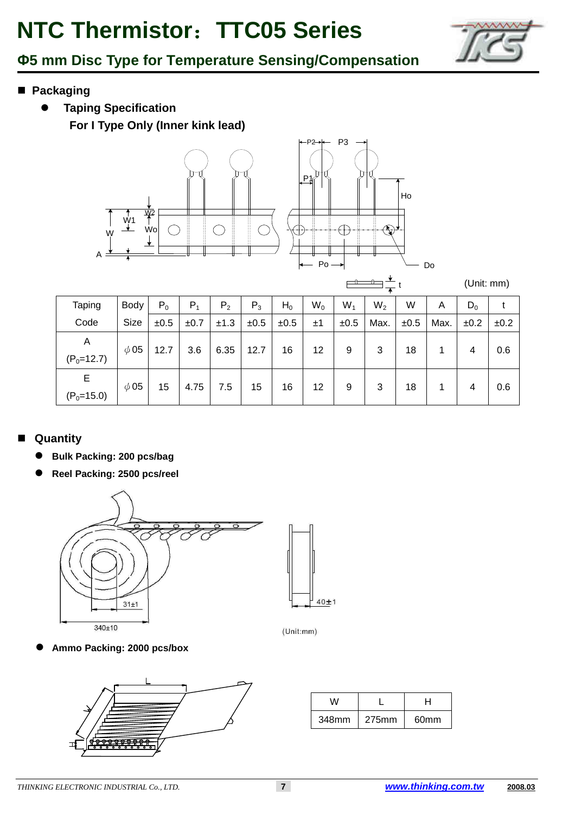

### Ф**5 mm Disc Type for Temperature Sensing/Compensation**

- **Packaging** 
	- $\bullet$  **Taping Specification For I Type Only (Inner kink lead)**



(Unit: mm)

Do

| Taping            | <b>Body</b> | $P_0$ | $P_1$ | P <sub>2</sub> | $P_3$ | $H_0$ | $W_0$ | $W_1$ | $W_2$ | W    | A    | $D_0$ |      |
|-------------------|-------------|-------|-------|----------------|-------|-------|-------|-------|-------|------|------|-------|------|
| Code              | Size        | ±0.5  | ±0.7  | ±1.3           | ±0.5  | ±0.5  | ±1    | ±0.5  | Max.  | ±0.5 | Max. | ±0.2  | ±0.2 |
| A<br>$(P_0=12.7)$ | $\phi$ 05   | 12.7  | 3.6   | 6.35           | 12.7  | 16    | 12    | 9     | 3     | 18   |      | 4     | 0.6  |
| Е<br>$(P_0=15.0)$ | $\phi$ 05   | 15    | 4.75  | 7.5            | 15    | 16    | 12    | 9     | 3     | 18   |      | 4     | 0.6  |

### **Quantity**

- $\bullet$ **Bulk Packing: 200 pcs/bag**
- $\bullet$ **Reel Packing: 2500 pcs/reel**



 $\bullet$ **Ammo Packing: 2000 pcs/box**



| w     |       | H                |  |  |  |
|-------|-------|------------------|--|--|--|
| 348mm | 275mm | 60 <sub>mm</sub> |  |  |  |

 $40±1$